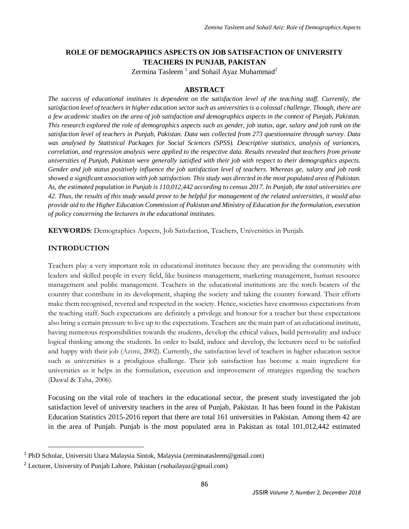# **ROLE OF DEMOGRAPHICS ASPECTS ON JOB SATISFACTION OF UNIVERSITY TEACHERS IN PUNJAB, PAKISTAN**

Zermina Tasleem<sup>1</sup> and Sohail Ayaz Muhammad<sup>2</sup>

## **ABSTRACT**

*The success of educational institutes is dependent on the satisfaction level of the teaching staff. Currently, the satisfaction level of teachers in higher education sector such as universities is a colossal challenge. Though, there are a few academic studies on the area of job satisfaction and demographics aspects in the context of Punjab, Pakistan. This research explored the role of demographics aspects such as gender, job status, age, salary and job rank on the satisfaction level of teachers in Punjab, Pakistan. Data was collected from 273 questionnaire through survey. Data was analysed by Statistical Packages for Social Sciences (SPSS). Descriptive statistics, analysis of variances, correlation, and regression analysis were applied to the respective data. Results revealed that teachers from private universities of Punjab, Pakistan were generally satisfied with their job with respect to their demographics aspects. Gender and job status positively influence the job satisfaction level of teachers. Whereas ge, salary and job rank showed a significant association with job satisfaction. This study was directed in the most populated area of Pakistan. As, the estimated population in Punjab is 110,012,442 according to census 2017. In Punjab, the total universities are 42. Thus, the results of this study would prove to be helpful for management of the related universities, it would also provide aid to the Higher Education Commission of Pakistan and Ministry of Education for the formulation, execution of policy concerning the lecturers in the educational institutes.*

**KEYWORDS:** Demographics Aspects, Job Satisfaction, Teachers, Universities in Punjab.

## **INTRODUCTION**

 $\overline{\phantom{a}}$ 

Teachers play a very important role in educational institutes because they are providing the community with leaders and skilled people in every field, like business management, marketing management, human resource management and public management. Teachers in the educational institutions are the torch bearers of the country that contribute in its development, shaping the society and taking the country forward. Their efforts make them recognised, revered and respected in the society. Hence, societies have enormous expectations from the teaching staff. Such expectations are definitely a privilege and honour for a teacher but these expectations also bring a certain pressure to live up to the expectations. Teachers are the main part of an educational institute, having numerous responsibilities towards the students, develop the ethical values, build personality and induce logical thinking among the students. In order to build, induce and develop, the lecturers need to be satisfied and happy with their job (Azimi, 2002). Currently, the satisfaction level of teachers in higher education sector such as universities is a prodigious challenge. Their job satisfaction has become a main ingredient for universities as it helps in the formulation, execution and improvement of strategies regarding the teachers (Dawal & Taha, 2006).

Focusing on the vital role of teachers in the educational sector, the present study investigated the job satisfaction level of university teachers in the area of Punjab, Pakistan. It has been found in the Pakistan Education Statistics 2015-2016 report that there are total 161 universities in Pakistan. Among them 42 are in the area of Punjab. Punjab is the most populated area in Pakistan as total 101,012,442 estimated

<sup>1</sup> PhD Scholar, Universiti Utara Malaysia Sintok, Malaysia (zerminatasleem@gmail.com)

<sup>&</sup>lt;sup>2</sup> Lecturer, University of Punjab Lahore, Pakistan (rsohailayaz@gmail.com)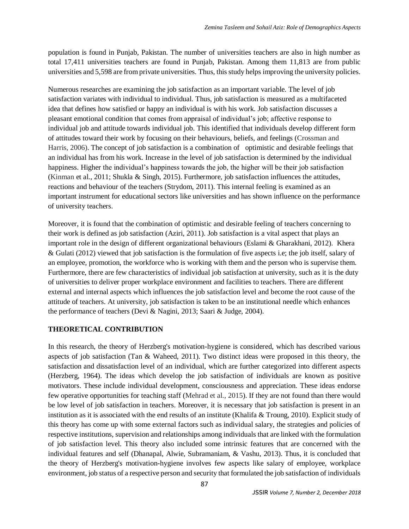population is found in Punjab, Pakistan. The number of universities teachers are also in high number as total 17,411 universities teachers are found in Punjab, Pakistan. Among them 11,813 are from public universities and 5,598 are from private universities. Thus, this study helps improving the university policies.

Numerous researches are examining the job satisfaction as an important variable. The level of job satisfaction variates with individual to individual. Thus, job satisfaction is measured as a multifaceted idea that defines how satisfied or happy an individual is with his work. Job satisfaction discusses a pleasant emotional condition that comes from appraisal of individual's job; affective response to individual job and attitude towards individual job. This identified that individuals develop different form of attitudes toward their work by focusing on their behaviours, beliefs, and feelings (Crossman and Harris, 2006). The concept of job satisfaction is a combination of optimistic and desirable feelings that an individual has from his work. Increase in the level of job satisfaction is determined by the individual happiness. Higher the individual's happiness towards the job, the higher will be their job satisfaction (Kinman et al., 2011; Shukla & Singh, 2015). Furthermore, job satisfaction influences the attitudes, reactions and behaviour of the teachers (Strydom, 2011). This internal feeling is examined as an important instrument for educational sectors like universities and has shown influence on the performance of university teachers.

Moreover, it is found that the combination of optimistic and desirable feeling of teachers concerning to their work is defined as job satisfaction (Aziri, 2011). Job satisfaction is a vital aspect that plays an important role in the design of different organizational behaviours (Eslami & Gharakhani, 2012). Khera & Gulati (2012) viewed that job satisfaction is the formulation of five aspects i.e; the job itself, salary of an employee, promotion, the workforce who is working with them and the person who is supervise them. Furthermore, there are few characteristics of individual job satisfaction at university, such as it is the duty of universities to deliver proper workplace environment and facilities to teachers. There are different external and internal aspects which influences the job satisfaction level and become the root cause of the attitude of teachers. At university, job satisfaction is taken to be an institutional needle which enhances the performance of teachers (Devi & Nagini, 2013; Saari & Judge, 2004).

## **THEORETICAL CONTRIBUTION**

In this research, the theory of Herzberg's motivation-hygiene is considered, which has described various aspects of job satisfaction (Tan & Waheed, 2011). Two distinct ideas were proposed in this theory, the satisfaction and dissatisfaction level of an individual, which are further categorized into different aspects (Herzberg, 1964). The ideas which develop the job satisfaction of individuals are known as positive motivators. These include individual development, consciousness and appreciation. These ideas endorse few operative opportunities for teaching staff (Mehrad et al., 2015). If they are not found than there would be low level of job satisfaction in teachers. Moreover, it is necessary that job satisfaction is present in an institution as it is associated with the end results of an institute (Khalifa & Troung, 2010). Explicit study of this theory has come up with some external factors such as individual salary, the strategies and policies of respective institutions, supervision and relationships among individuals that are linked with the formulation of job satisfaction level. This theory also included some intrinsic features that are concerned with the individual features and self (Dhanapal, Alwie, Subramaniam, & Vashu, 2013). Thus, it is concluded that the theory of Herzberg's motivation-hygiene involves few aspects like salary of employee, workplace environment, job status of a respective person and security that formulated the job satisfaction of individuals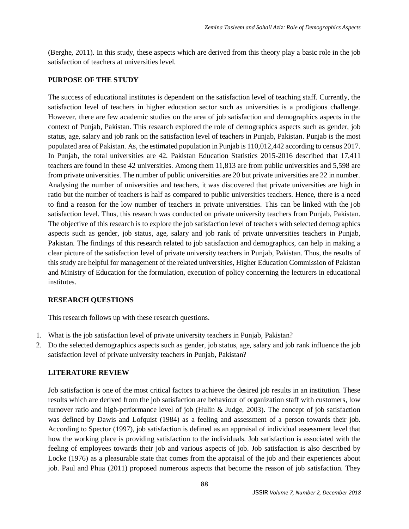(Berghe, 2011). In this study, these aspects which are derived from this theory play a basic role in the job satisfaction of teachers at universities level.

## **PURPOSE OF THE STUDY**

The success of educational institutes is dependent on the satisfaction level of teaching staff. Currently, the satisfaction level of teachers in higher education sector such as universities is a prodigious challenge. However, there are few academic studies on the area of job satisfaction and demographics aspects in the context of Punjab, Pakistan. This research explored the role of demographics aspects such as gender, job status, age, salary and job rank on the satisfaction level of teachers in Punjab, Pakistan. Punjab is the most populated area of Pakistan. As, the estimated population in Punjab is 110,012,442 according to census 2017. In Punjab, the total universities are 42. Pakistan Education Statistics 2015-2016 described that 17,411 teachers are found in these 42 universities. Among them 11,813 are from public universities and 5,598 are from private universities. The number of public universities are 20 but private universities are 22 in number. Analysing the number of universities and teachers, it was discovered that private universities are high in ratio but the number of teachers is half as compared to public universities teachers. Hence, there is a need to find a reason for the low number of teachers in private universities. This can be linked with the job satisfaction level. Thus, this research was conducted on private university teachers from Punjab, Pakistan. The objective of this research is to explore the job satisfaction level of teachers with selected demographics aspects such as gender, job status, age, salary and job rank of private universities teachers in Punjab, Pakistan. The findings of this research related to job satisfaction and demographics, can help in making a clear picture of the satisfaction level of private university teachers in Punjab, Pakistan. Thus, the results of this study are helpful for management of the related universities, Higher Education Commission of Pakistan and Ministry of Education for the formulation, execution of policy concerning the lecturers in educational institutes.

## **RESEARCH QUESTIONS**

This research follows up with these research questions.

- 1. What is the job satisfaction level of private university teachers in Punjab, Pakistan?
- 2. Do the selected demographics aspects such as gender, job status, age, salary and job rank influence the job satisfaction level of private university teachers in Punjab, Pakistan?

## **LITERATURE REVIEW**

Job satisfaction is one of the most critical factors to achieve the desired job results in an institution. These results which are derived from the job satisfaction are behaviour of organization staff with customers, low turnover ratio and high-performance level of job (Hulin & Judge, 2003). The concept of job satisfaction was defined by Dawis and Lofquist (1984) as a feeling and assessment of a person towards their job. According to Spector (1997), job satisfaction is defined as an appraisal of individual assessment level that how the working place is providing satisfaction to the individuals. Job satisfaction is associated with the feeling of employees towards their job and various aspects of job. Job satisfaction is also described by Locke (1976) as a pleasurable state that comes from the appraisal of the job and their experiences about job. Paul and Phua (2011) proposed numerous aspects that become the reason of job satisfaction. They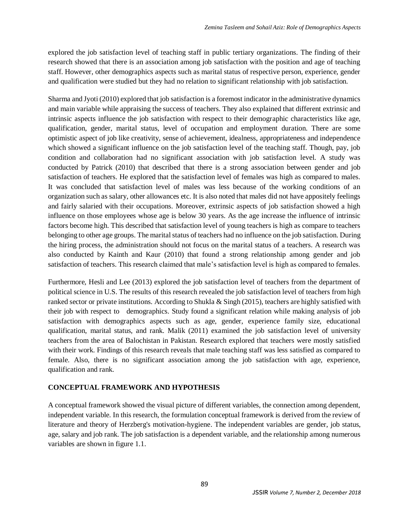explored the job satisfaction level of teaching staff in public tertiary organizations. The finding of their research showed that there is an association among job satisfaction with the position and age of teaching staff. However, other demographics aspects such as marital status of respective person, experience, gender and qualification were studied but they had no relation to significant relationship with job satisfaction.

Sharma and Jyoti (2010) explored that job satisfaction is a foremost indicator in the administrative dynamics and main variable while appraising the success of teachers. They also explained that different extrinsic and intrinsic aspects influence the job satisfaction with respect to their demographic characteristics like age, qualification, gender, marital status, level of occupation and employment duration. There are some optimistic aspect of job like creativity, sense of achievement, idealness, appropriateness and independence which showed a significant influence on the job satisfaction level of the teaching staff. Though, pay, job condition and collaboration had no significant association with job satisfaction level. A study was conducted by Patrick (2010) that described that there is a strong association between gender and job satisfaction of teachers. He explored that the satisfaction level of females was high as compared to males. It was concluded that satisfaction level of males was less because of the working conditions of an organization such as salary, other allowances etc. It is also noted that males did not have appositely feelings and fairly salaried with their occupations. Moreover, extrinsic aspects of job satisfaction showed a high influence on those employees whose age is below 30 years. As the age increase the influence of intrinsic factors become high. This described that satisfaction level of young teachers is high as compare to teachers belonging to other age groups. The marital status of teachers had no influence on the job satisfaction. During the hiring process, the administration should not focus on the marital status of a teachers. A research was also conducted by Kainth and Kaur (2010) that found a strong relationship among gender and job satisfaction of teachers. This research claimed that male's satisfaction level is high as compared to females.

Furthermore, Hesli and Lee (2013) explored the job satisfaction level of teachers from the department of political science in U.S. The results of this research revealed the job satisfaction level of teachers from high ranked sector or private institutions. According to Shukla & Singh (2015), teachers are highly satisfied with their job with respect to demographics. Study found a significant relation while making analysis of job satisfaction with demographics aspects such as age, gender, experience family size, educational qualification, marital status, and rank. Malik (2011) examined the job satisfaction level of university teachers from the area of Balochistan in Pakistan. Research explored that teachers were mostly satisfied with their work. Findings of this research reveals that male teaching staff was less satisfied as compared to female. Also, there is no significant association among the job satisfaction with age, experience, qualification and rank.

## **CONCEPTUAL FRAMEWORK AND HYPOTHESIS**

A conceptual framework showed the visual picture of different variables, the connection among dependent, independent variable. In this research, the formulation conceptual framework is derived from the review of literature and theory of Herzberg's motivation-hygiene. The independent variables are gender, job status, age, salary and job rank. The job satisfaction is a dependent variable, and the relationship among numerous variables are shown in figure 1.1.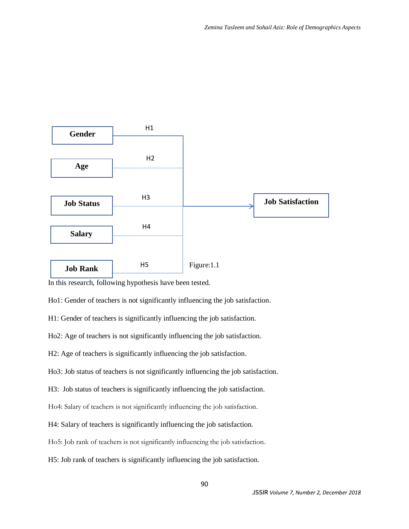

In this research, following hypothesis have been tested.

Ho1: Gender of teachers is not significantly influencing the job satisfaction.

H1: Gender of teachers is significantly influencing the job satisfaction.

Ho2: Age of teachers is not significantly influencing the job satisfaction.

H2: Age of teachers is significantly influencing the job satisfaction.

Ho3: Job status of teachers is not significantly influencing the job satisfaction.

H3: Job status of teachers is significantly influencing the job satisfaction.

Ho4: Salary of teachers is not significantly influencing the job satisfaction.

H4: Salary of teachers is significantly influencing the job satisfaction.

Ho5: Job rank of teachers is not significantly influencing the job satisfaction.

H5: Job rank of teachers is significantly influencing the job satisfaction.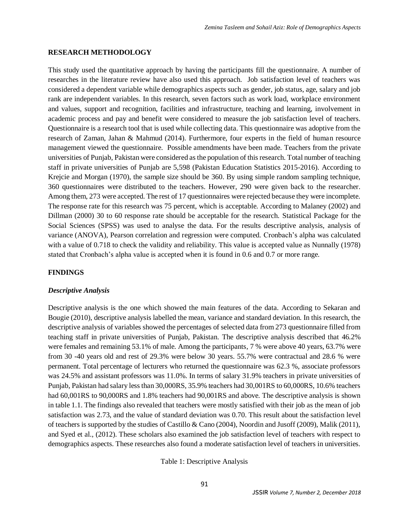#### **RESEARCH METHODOLOGY**

This study used the quantitative approach by having the participants fill the questionnaire. A number of researches in the literature review have also used this approach. Job satisfaction level of teachers was considered a dependent variable while demographics aspects such as gender, job status, age, salary and job rank are independent variables. In this research, seven factors such as work load, workplace environment and values, support and recognition, facilities and infrastructure, teaching and learning, involvement in academic process and pay and benefit were considered to measure the job satisfaction level of teachers. Questionnaire is a research tool that is used while collecting data. This questionnaire was adoptive from the research of Zaman, Jahan & Mahmud (2014). Furthermore, four experts in the field of human resource management viewed the questionnaire. Possible amendments have been made. Teachers from the private universities of Punjab, Pakistan were considered as the population of this research. Total number of teaching staff in private universities of Punjab are 5,598 (Pakistan Education Statistics 2015-2016). According to Krejcie and Morgan (1970), the sample size should be 360. By using simple random sampling technique, 360 questionnaires were distributed to the teachers. However, 290 were given back to the researcher. Among them, 273 were accepted. The rest of 17 questionnaires were rejected because they were incomplete. The response rate for this research was 75 percent, which is acceptable. According to Malaney (2002) and Dillman (2000) 30 to 60 response rate should be acceptable for the research. Statistical Package for the Social Sciences (SPSS) was used to analyse the data. For the results descriptive analysis, analysis of variance (ANOVA), Pearson correlation and regression were computed. Cronbach's alpha was calculated with a value of 0.718 to check the validity and reliability. This value is accepted value as Nunnally (1978) stated that Cronbach's alpha value is accepted when it is found in 0.6 and 0.7 or more range.

## **FINDINGS**

### *Descriptive Analysis*

Descriptive analysis is the one which showed the main features of the data. According to Sekaran and Bougie (2010), descriptive analysis labelled the mean, variance and standard deviation. In this research, the descriptive analysis of variables showed the percentages of selected data from 273 questionnaire filled from teaching staff in private universities of Punjab, Pakistan. The descriptive analysis described that 46.2% were females and remaining 53.1% of male. Among the participants, 7 % were above 40 years, 63.7% were from 30 -40 years old and rest of 29.3% were below 30 years. 55.7% were contractual and 28.6 % were permanent. Total percentage of lecturers who returned the questionnaire was 62.3 %, associate professors was 24.5% and assistant professors was 11.0%. In terms of salary 31.9% teachers in private universities of Punjab, Pakistan had salary less than 30,000RS, 35.9% teachers had 30,001RS to 60,000RS, 10.6% teachers had 60,001RS to 90,000RS and 1.8% teachers had 90,001RS and above. The descriptive analysis is shown in table 1.1. The findings also revealed that teachers were mostly satisfied with their job as the mean of job satisfaction was 2.73, and the value of standard deviation was 0.70. This result about the satisfaction level of teachers is supported by the studies of Castillo & Cano (2004), Noordin and Jusoff (2009), Malik (2011), and Syed et al., (2012). These scholars also examined the job satisfaction level of teachers with respect to demographics aspects. These researches also found a moderate satisfaction level of teachers in universities.

Table 1: Descriptive Analysis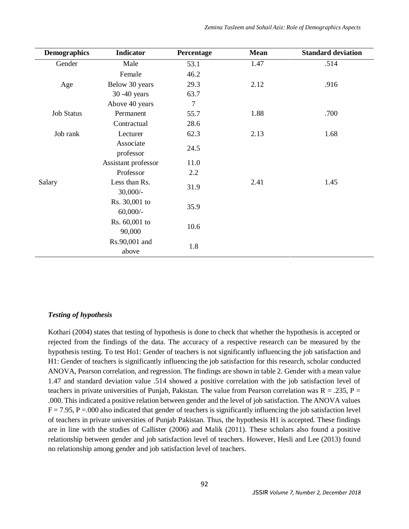| <b>Demographics</b> | <b>Indicator</b>    | Percentage | <b>Mean</b> | <b>Standard deviation</b> |
|---------------------|---------------------|------------|-------------|---------------------------|
| Gender              | Male                | 53.1       | 1.47        | .514                      |
|                     | Female              | 46.2       |             |                           |
| Age                 | Below 30 years      | 29.3       | 2.12        | .916                      |
|                     | 30 -40 years        | 63.7       |             |                           |
|                     | Above 40 years      | 7          |             |                           |
| <b>Job Status</b>   | Permanent           | 55.7       | 1.88        | .700                      |
|                     | Contractual         | 28.6       |             |                           |
| Job rank            | Lecturer            | 62.3       | 2.13        | 1.68                      |
|                     | Associate           | 24.5       |             |                           |
|                     | professor           |            |             |                           |
|                     | Assistant professor | 11.0       |             |                           |
|                     | Professor           | 2.2        |             |                           |
| Salary              | Less than Rs.       | 31.9       | 2.41        | 1.45                      |
|                     | $30,000/$ -         |            |             |                           |
|                     | Rs. 30,001 to       | 35.9       |             |                           |
|                     | $60,000/$ -         |            |             |                           |
|                     | Rs. 60,001 to       | 10.6       |             |                           |
|                     | 90,000              |            |             |                           |
|                     | Rs.90,001 and       | 1.8        |             |                           |
|                     | above               |            |             |                           |

### *Testing of hypothesis*

Kothari (2004) states that testing of hypothesis is done to check that whether the hypothesis is accepted or rejected from the findings of the data. The accuracy of a respective research can be measured by the hypothesis testing. To test Ho1: Gender of teachers is not significantly influencing the job satisfaction and H1: Gender of teachers is significantly influencing the job satisfaction for this research, scholar conducted ANOVA, Pearson correlation, and regression. The findings are shown in table 2. Gender with a mean value 1.47 and standard deviation value .514 showed a positive correlation with the job satisfaction level of teachers in private universities of Punjab, Pakistan. The value from Pearson correlation was  $R = .235$ ,  $P =$ .000. This indicated a positive relation between gender and the level of job satisfaction. The ANOVA values  $F = 7.95$ , P = 000 also indicated that gender of teachers is significantly influencing the job satisfaction level of teachers in private universities of Punjab Pakistan. Thus, the hypothesis H1 is accepted. These findings are in line with the studies of Callister (2006) and Malik (2011). These scholars also found a positive relationship between gender and job satisfaction level of teachers. However, Hesli and Lee (2013) found no relationship among gender and job satisfaction level of teachers.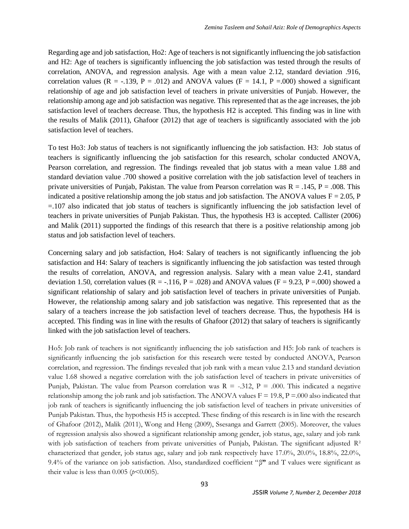Regarding age and job satisfaction, Ho2: Age of teachers is not significantly influencing the job satisfaction and H2: Age of teachers is significantly influencing the job satisfaction was tested through the results of correlation, ANOVA, and regression analysis. Age with a mean value 2.12, standard deviation .916, correlation values ( $R = -0.139$ ,  $P = 0.012$ ) and ANOVA values ( $F = 14.1$ ,  $P = 0.000$ ) showed a significant relationship of age and job satisfaction level of teachers in private universities of Punjab. However, the relationship among age and job satisfaction was negative. This represented that as the age increases, the job satisfaction level of teachers decrease. Thus, the hypothesis H2 is accepted. This finding was in line with the results of Malik (2011), Ghafoor (2012) that age of teachers is significantly associated with the job satisfaction level of teachers.

To test Ho3: Job status of teachers is not significantly influencing the job satisfaction. H3: Job status of teachers is significantly influencing the job satisfaction for this research, scholar conducted ANOVA, Pearson correlation, and regression. The findings revealed that job status with a mean value 1.88 and standard deviation value .700 showed a positive correlation with the job satisfaction level of teachers in private universities of Punjab, Pakistan. The value from Pearson correlation was  $R = 0.145$ , P = .008. This indicated a positive relationship among the job status and job satisfaction. The ANOVA values  $F = 2.05$ , P =.107 also indicated that job status of teachers is significantly influencing the job satisfaction level of teachers in private universities of Punjab Pakistan. Thus, the hypothesis H3 is accepted. Callister (2006) and Malik (2011) supported the findings of this research that there is a positive relationship among job status and job satisfaction level of teachers.

Concerning salary and job satisfaction, Ho4: Salary of teachers is not significantly influencing the job satisfaction and H4: Salary of teachers is significantly influencing the job satisfaction was tested through the results of correlation, ANOVA, and regression analysis. Salary with a mean value 2.41, standard deviation 1.50, correlation values ( $R = -.116$ ,  $P = .028$ ) and ANOVA values ( $F = 9.23$ ,  $P = .000$ ) showed a significant relationship of salary and job satisfaction level of teachers in private universities of Punjab. However, the relationship among salary and job satisfaction was negative. This represented that as the salary of a teachers increase the job satisfaction level of teachers decrease. Thus, the hypothesis H4 is accepted. This finding was in line with the results of Ghafoor (2012) that salary of teachers is significantly linked with the job satisfaction level of teachers.

Ho5: Job rank of teachers is not significantly influencing the job satisfaction and H5: Job rank of teachers is significantly influencing the job satisfaction for this research were tested by conducted ANOVA, Pearson correlation, and regression. The findings revealed that job rank with a mean value 2.13 and standard deviation value 1.68 showed a negative correlation with the job satisfaction level of teachers in private universities of Punjab, Pakistan. The value from Pearson correlation was  $R = -0.312$ ,  $P = 0.000$ . This indicated a negative relationship among the job rank and job satisfaction. The ANOVA values  $F = 19.8$ ,  $P = .000$  also indicated that job rank of teachers is significantly influencing the job satisfaction level of teachers in private universities of Punjab Pakistan. Thus, the hypothesis H5 is accepted. These finding of this research is in line with the research of Ghafoor (2012), Malik (2011), Wong and Heng (2009), Ssesanga and Garrett (2005). Moreover, the values of regression analysis also showed a significant relationship among gender, job status, age, salary and job rank with job satisfaction of teachers from private universities of Punjab, Pakistan. The significant adjusted  $\mathbb{R}^2$ characterized that gender, job status age, salary and job rank respectively have 17.0%, 20.0%, 18.8%, 22.0%, 9.4% of the variance on job satisfaction. Also, standardized coefficient "β**"** and T values were significant as their value is less than  $0.005$  ( $p < 0.005$ ).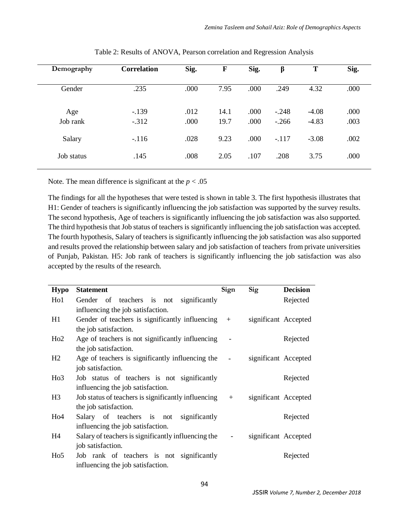| Demography      | <b>Correlation</b> | Sig.         | F            | Sig.         | β                  | T                  | Sig.         |
|-----------------|--------------------|--------------|--------------|--------------|--------------------|--------------------|--------------|
| Gender          | .235               | .000         | 7.95         | .000         | .249               | 4.32               | .000         |
| Age<br>Job rank | $-.139$<br>$-.312$ | .012<br>.000 | 14.1<br>19.7 | .000<br>.000 | $-.248$<br>$-.266$ | $-4.08$<br>$-4.83$ | .000<br>.003 |
| Salary          | $-.116$            | .028         | 9.23         | .000         | $-.117$            | $-3.08$            | .002         |
| Job status      | .145               | .008         | 2.05         | .107         | .208               | 3.75               | .000         |

Table 2: Results of ANOVA, Pearson correlation and Regression Analysis

Note. The mean difference is significant at the  $p < .05$ 

The findings for all the hypotheses that were tested is shown in table 3. The first hypothesis illustrates that H1: Gender of teachers is significantly influencing the job satisfaction was supported by the survey results. The second hypothesis, Age of teachers is significantly influencing the job satisfaction was also supported. The third hypothesis that Job status of teachers is significantly influencing the job satisfaction was accepted. The fourth hypothesis, Salary of teachers is significantly influencing the job satisfaction was also supported and results proved the relationship between salary and job satisfaction of teachers from private universities of Punjab, Pakistan. H5: Job rank of teachers is significantly influencing the job satisfaction was also accepted by the results of the research.

| <b>Hypo</b>     | <b>Statement</b>                                    | Sign | Sig                  | <b>Decision</b> |
|-----------------|-----------------------------------------------------|------|----------------------|-----------------|
| Ho1             | Gender of teachers is not significantly             |      |                      | Rejected        |
|                 | influencing the job satisfaction.                   |      |                      |                 |
| H1              | Gender of teachers is significantly influencing $+$ |      | significant Accepted |                 |
|                 | the job satisfaction.                               |      |                      |                 |
| Ho2             | Age of teachers is not significantly influencing    |      |                      | Rejected        |
|                 | the job satisfaction.                               |      |                      |                 |
| H2              | Age of teachers is significantly influencing the -  |      | significant Accepted |                 |
|                 | job satisfaction.                                   |      |                      |                 |
| H <sub>03</sub> | Job status of teachers is not significantly         |      |                      | Rejected        |
|                 | influencing the job satisfaction.                   |      |                      |                 |
| H <sub>3</sub>  | Job status of teachers is significantly influencing | $+$  | significant Accepted |                 |
|                 | the job satisfaction.                               |      |                      |                 |
| H <sub>04</sub> | Salary of teachers is not significantly             |      |                      | Rejected        |
|                 | influencing the job satisfaction.                   |      |                      |                 |
| H4              | Salary of teachers is significantly influencing the |      | significant Accepted |                 |
|                 | job satisfaction.                                   |      |                      |                 |
| H <sub>05</sub> | Job rank of teachers is not significantly           |      |                      | Rejected        |
|                 | influencing the job satisfaction.                   |      |                      |                 |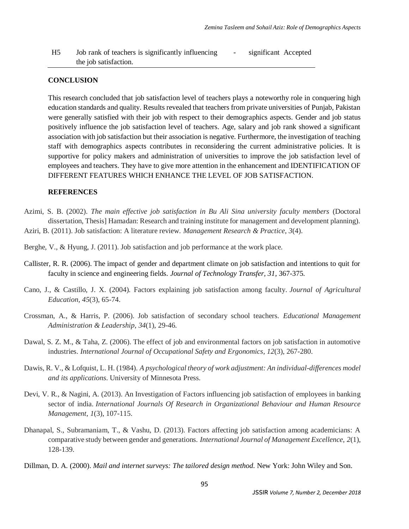H5 Job rank of teachers is significantly influencing the job satisfaction. - significant Accepted

### **CONCLUSION**

This research concluded that job satisfaction level of teachers plays a noteworthy role in conquering high education standards and quality. Results revealed that teachers from private universities of Punjab, Pakistan were generally satisfied with their job with respect to their demographics aspects. Gender and job status positively influence the job satisfaction level of teachers. Age, salary and job rank showed a significant association with job satisfaction but their association is negative. Furthermore, the investigation of teaching staff with demographics aspects contributes in reconsidering the current administrative policies. It is supportive for policy makers and administration of universities to improve the job satisfaction level of employees and teachers. They have to give more attention in the enhancement and IDENTIFICATION OF DIFFERENT FEATURES WHICH ENHANCE THE LEVEL OF JOB SATISFACTION.

## **REFERENCES**

- Azimi, S. B. (2002). *The main effective job satisfaction in Bu Ali Sina university faculty members* (Doctoral dissertation, Thesis] Hamadan: Research and training institute for management and development planning). Aziri, B. (2011). Job satisfaction: A literature review. *Management Research & Practice*, *3*(4).
- Berghe, V., & Hyung, J. (2011). Job satisfaction and job performance at the work place.
- Callister, R. R. (2006). The impact of gender and department climate on job satisfaction and intentions to quit for faculty in science and engineering fields. *Journal of Technology Transfer, 31*, 367-375.
- Cano, J., & Castillo, J. X. (2004). Factors explaining job satisfaction among faculty. *Journal of Agricultural Education*, *45*(3), 65-74.
- Crossman, A., & Harris, P. (2006). Job satisfaction of secondary school teachers. *Educational Management Administration & Leadership*, *34*(1), 29-46.
- Dawal, S. Z. M., & Taha, Z. (2006). The effect of job and environmental factors on job satisfaction in automotive industries. *International Journal of Occupational Safety and Ergonomics*, *12*(3), 267-280.
- Dawis, R. V., & Lofquist, L. H. (1984). *A psychological theory of work adjustment: An individual-differences model and its applications*. University of Minnesota Press.
- Devi, V. R., & Nagini, A. (2013). An Investigation of Factors influencing job satisfaction of employees in banking sector of india. *International Journals Of Research in Organizational Behaviour and Human Resource Management*, *1*(3), 107-115.
- Dhanapal, S., Subramaniam, T., & Vashu, D. (2013). Factors affecting job satisfaction among academicians: A comparative study between gender and generations. *International Journal of Management Excellence*, *2*(1), 128-139.
- Dillman, D. A. (2000). *Mail and internet surveys: The tailored design method*. New York: John Wiley and Son.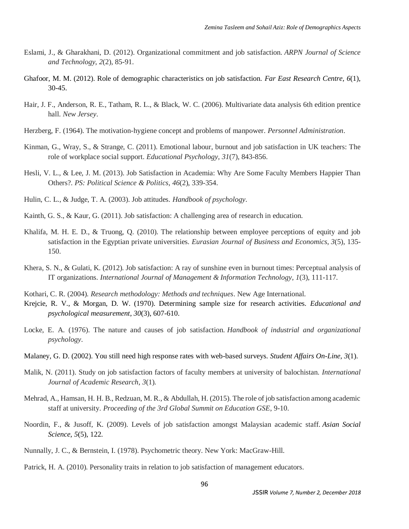- Eslami, J., & Gharakhani, D. (2012). Organizational commitment and job satisfaction. *ARPN Journal of Science and Technology*, *2*(2), 85-91.
- Ghafoor, M. M. (2012). Role of demographic characteristics on job satisfaction. *Far East Research Centre, 6*(1), 30-45.
- Hair, J. F., Anderson, R. E., Tatham, R. L., & Black, W. C. (2006). Multivariate data analysis 6th edition prentice hall. *New Jersey*.
- Herzberg, F. (1964). The motivation-hygiene concept and problems of manpower. *Personnel Administration*.
- Kinman, G., Wray, S., & Strange, C. (2011). Emotional labour, burnout and job satisfaction in UK teachers: The role of workplace social support. *Educational Psychology*, *31*(7), 843-856.
- Hesli, V. L., & Lee, J. M. (2013). Job Satisfaction in Academia: Why Are Some Faculty Members Happier Than Others?. *PS: Political Science & Politics*, *46*(2), 339-354.
- Hulin, C. L., & Judge, T. A. (2003). Job attitudes. *Handbook of psychology*.
- Kainth, G. S., & Kaur, G. (2011). Job satisfaction: A challenging area of research in education.
- Khalifa, M. H. E. D., & Truong, Q. (2010). The relationship between employee perceptions of equity and job satisfaction in the Egyptian private universities. *Eurasian Journal of Business and Economics*, *3*(5), 135- 150.
- Khera, S. N., & Gulati, K. (2012). Job satisfaction: A ray of sunshine even in burnout times: Perceptual analysis of IT organizations. *International Journal of Management & Information Technology*, *1*(3), 111-117.
- Kothari, C. R. (2004). *Research methodology: Methods and techniques*. New Age International.
- Krejcie, R. V., & Morgan, D. W. (1970). Determining sample size for research activities. *Educational and psychological measurement*, *30*(3), 607-610.
- Locke, E. A. (1976). The nature and causes of job satisfaction. *Handbook of industrial and organizational psychology*.
- Malaney, G. D. (2002). You still need high response rates with web-based surveys. *Student Affairs On-Line, 3*(1).
- Malik, N. (2011). Study on job satisfaction factors of faculty members at university of balochistan. *International Journal of Academic Research*, *3*(1).
- Mehrad, A., Hamsan, H. H. B., Redzuan, M. R., & Abdullah, H. (2015). The role of job satisfaction among academic staff at university. *Proceeding of the 3rd Global Summit on Education GSE*, 9-10.
- Noordin, F., & Jusoff, K. (2009). Levels of job satisfaction amongst Malaysian academic staff. *Asian Social Science*, *5*(5), 122.
- Nunnally, J. C., & Bernstein, I. (1978). Psychometric theory. New York: MacGraw-Hill.
- Patrick, H. A. (2010). Personality traits in relation to job satisfaction of management educators.